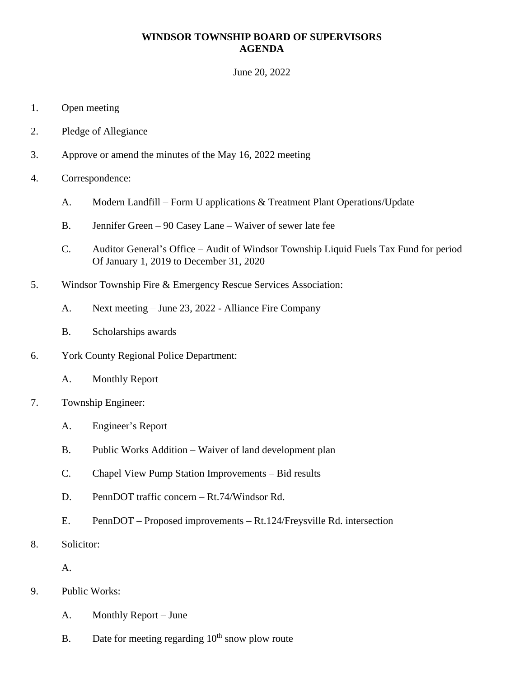## **WINDSOR TOWNSHIP BOARD OF SUPERVISORS AGENDA**

June 20, 2022

- 1. Open meeting
- 2. Pledge of Allegiance
- 3. Approve or amend the minutes of the May 16, 2022 meeting
- 4. Correspondence:
	- A. Modern Landfill Form U applications & Treatment Plant Operations/Update
	- B. Jennifer Green 90 Casey Lane Waiver of sewer late fee
	- C. Auditor General's Office Audit of Windsor Township Liquid Fuels Tax Fund for period Of January 1, 2019 to December 31, 2020
- 5. Windsor Township Fire & Emergency Rescue Services Association:
	- A. Next meeting June 23, 2022 Alliance Fire Company
	- B. Scholarships awards
- 6. York County Regional Police Department:
	- A. Monthly Report
- 7. Township Engineer:
	- A. Engineer's Report
	- B. Public Works Addition Waiver of land development plan
	- C. Chapel View Pump Station Improvements Bid results
	- D. PennDOT traffic concern Rt.74/Windsor Rd.
	- E. PennDOT Proposed improvements Rt.124/Freysville Rd. intersection
- 8. Solicitor:

A.

- 9. Public Works:
	- A. Monthly Report June
	- B. Date for meeting regarding  $10<sup>th</sup>$  snow plow route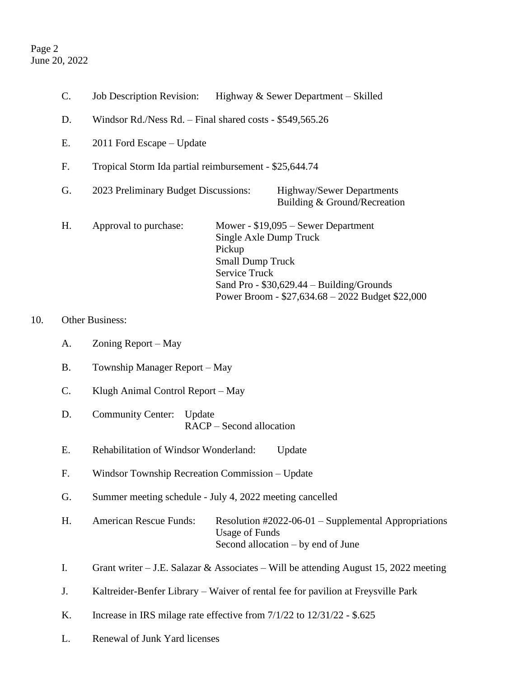## Page 2 June 20, 2022

 $10.$ 

| C.              | <b>Job Description Revision:</b><br>Highway & Sewer Department – Skilled                                                                                                                           |                                                                                  |  |
|-----------------|----------------------------------------------------------------------------------------------------------------------------------------------------------------------------------------------------|----------------------------------------------------------------------------------|--|
| D.              | Windsor Rd./Ness Rd. – Final shared costs - \$549,565.26                                                                                                                                           |                                                                                  |  |
| Е.              | 2011 Ford Escape - Update                                                                                                                                                                          |                                                                                  |  |
| F.              | Tropical Storm Ida partial reimbursement - \$25,644.74                                                                                                                                             |                                                                                  |  |
| G.              | 2023 Preliminary Budget Discussions:<br>Highway/Sewer Departments<br>Building & Ground/Recreation                                                                                                  |                                                                                  |  |
| H.              | Approval to purchase:<br>Mower - $$19,095 -$ Sewer Department<br>Single Axle Dump Truck<br>Pickup<br><b>Small Dump Truck</b><br><b>Service Truck</b><br>Sand Pro - $$30,629.44 - Building/Grounds$ | Power Broom - \$27,634.68 - 2022 Budget \$22,000                                 |  |
| Other Business: |                                                                                                                                                                                                    |                                                                                  |  |
| A.              | Zoning Report – May                                                                                                                                                                                |                                                                                  |  |
| <b>B.</b>       | Township Manager Report – May                                                                                                                                                                      |                                                                                  |  |
| $\mathcal{C}$ . | Klugh Animal Control Report - May                                                                                                                                                                  |                                                                                  |  |
| D.              | <b>Community Center:</b><br>Update<br>RACP – Second allocation                                                                                                                                     |                                                                                  |  |
| Ε.              | Rehabilitation of Windsor Wonderland:<br>Update                                                                                                                                                    |                                                                                  |  |
| F.              | Windsor Township Recreation Commission - Update                                                                                                                                                    |                                                                                  |  |
| G.              | Summer meeting schedule - July 4, 2022 meeting cancelled                                                                                                                                           |                                                                                  |  |
| Η.              | <b>American Rescue Funds:</b><br><b>Usage of Funds</b><br>Second allocation – by end of June                                                                                                       | Resolution #2022-06-01 - Supplemental Appropriations                             |  |
| I.              | Grant writer $-$ J.E. Salazar & Associates $-$ Will be attending August 15, 2022 meeting                                                                                                           |                                                                                  |  |
| J.              |                                                                                                                                                                                                    | Kaltreider-Benfer Library – Waiver of rental fee for pavilion at Freysville Park |  |

- K. Increase in IRS milage rate effective from 7/1/22 to 12/31/22 \$.625
- L. Renewal of Junk Yard licenses